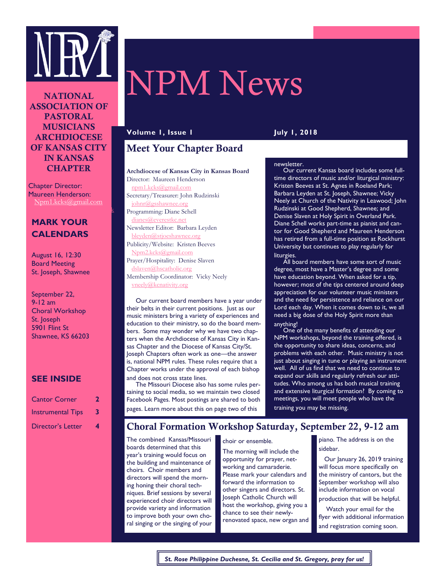

**NATIONAL** ASSOCIATION OF PASTORAL MUSICIANS ARCHDIOCESE OF KANSAS CITY IN KANSAS **CHAPTER** 

Chapter Director: Maureen Henderson: Npm1.kcks@gmail.com

npm.kc/mail.com/inpm.kc/mail.com

# **MARK YOUR CALENDARS**

August 16, 12:30 Board Meeting St. Joseph, Shawnee

September 22, 9-12 am Choral Workshop St. Joseph 5901 Flint St Shawnee, KS 66203

#### **SEE INSIDE**

| <b>Cantor Corner</b>     | 2  |
|--------------------------|----|
| <b>Instrumental Tips</b> | 3. |
| <b>Director's Letter</b> | 4  |

# NPM News

**Volume 1, Issue 1 July 1, 2018**

# Meet Your Chapter Board

#### **Archdiocese of Kansas City in Kansas Board**

Director: Maureen Henderson [npm1.kcks@gmail.com](mailto:npm1.kcks@gmail.com) Secretary/Treasurer: John Rudzinski johnr@gsshawnee.org Programming: Diane Schell dianes@everestkc.net Newsletter Editor: Barbara Leyden bleyden@stjoeshawnee.org Publicity/Website: Kristen Beeves Npm2.kcks@gmail.com Prayer/Hospitality: Denise Slaven dslaven@hscatholic.org Membership Coordinator: Vicky Neely vneely@kcnativity.org

 Our current board members have a year under their belts in their current positions. Just as our music ministers bring a variety of experiences and education to their ministry, so do the board members. Some may wonder why we have two chapters when the Archdiocese of Kansas City in Kansas Chapter and the Diocese of Kansas City/St. Joseph Chapters often work as one—the answer is, national NPM rules. These rules require that a Chapter works under the approval of each bishop and does not cross state lines.

 The Missouri Diocese also has some rules pertaining to social media, so we maintain two closed Facebook Pages. Most postings are shared to both pages. Learn more about this on page two of this

#### newsletter.

 Our current Kansas board includes some fulltime directors of music and/or liturgical ministry: Kristen Beeves at St. Agnes in Roeland Park; Barbara Leyden at St. Joseph, Shawnee; Vicky Neely at Church of the Nativity in Leawood; John Rudzinski at Good Shepherd, Shawnee; and Denise Slaven at Holy Spirit in Overland Park. Diane Schell works part-time as pianist and cantor for Good Shepherd and Maureen Henderson has retired from a full-time position at Rockhurst University but continues to play regularly for liturgies.

 All board members have some sort of music degree, most have a Master's degree and some have education beyond. When asked for a tip, however; most of the tips centered around deep appreciation for our volunteer music ministers and the need for persistence and reliance on our Lord each day. When it comes down to it, we all need a big dose of the Holy Spirit more than anything!

 One of the many benefits of attending our NPM workshops, beyond the training offered, is the opportunity to share ideas, concerns, and problems with each other. Music ministry is not just about singing in tune or playing an instrument well. All of us find that we need to continue to expand our skills and regularly refresh our attitudes. Who among us has both musical training and extensive liturgical formation? By coming to meetings, you will meet people who have the training you may be missing.

### Choral Formation Workshop Saturday, September 22, 9-12 am

The combined Kansas/Missouri boards determined that this year's training would focus on the building and maintenance of choirs. Choir members and directors will spend the morning honing their choral techniques. Brief sessions by several experienced choir directors will provide variety and information to improve both your own choral singing or the singing of your

choir or ensemble.

The morning will include the opportunity for prayer, networking and camaraderie. Please mark your calendars and forward the information to other singers and directors. St. Joseph Catholic Church will host the workshop, giving you a chance to see their newlyrenovated space, new organ and piano. The address is on the sidebar.

 Our January 26, 2019 training will focus more specifically on the ministry of cantors, but the September workshop will also include information on vocal production that will be helpful.

 Watch your email for the flyer with additional information and registration coming soon.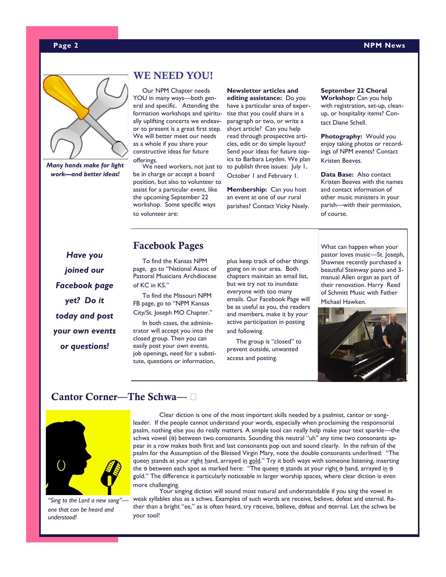#### **Page 2 NPM News**



*Many hands make for light work—and better ideas!*

# WE NEED YOU!

 Our NPM Chapter needs YOU in many ways—both general and specific. Attending the formation workshops and spiritually uplifting concerts we endeavor to present is a great first step. We will better meet our needs as a whole if you share your constructive ideas for future offerings.

be in charge or accept a board position, but also to volunteer to assist for a particular event, like the upcoming September 22 workshop. Some specific ways to volunteer are:

We need workers, not just to to publish three issues: July 1, **Newsletter articles and editing assistance:** Do you have a particular area of expertise that you could share in a paragraph or two, or write a short article? Can you help read through prospective articles, edit or do simple layout? Send your ideas for future topics to Barbara Leyden. We plan October 1 and February 1.

> **Membership:** Can you host an event at one of our rural parishes? Contact Vicky Neely.

**September 22 Choral Workshop:** Can you help with registration, set-up, cleanup, or hospitality items? Contact Diane Schell.

**Photography:** Would you enjoy taking photos or recordings of NPM events? Contact Kristen Beeves.

**Data Base:** Also contact Kristen Beeves with the names and contact information of other music ministers in your parish—with their permission, of course.

*Have you joined our Facebook page yet? Do it today and post your own events or questions!*

#### Facebook Pages

 To find the Kansas NPM page, go to "National Assoc of Pastoral Musicians Archdiocese of KC in KS."

 To find the Missouri NPM FB page, go to "NPM Kansas City/St. Joseph MO Chapter."

 In both cases, the administrator will accept you into the closed group. Then you can easily post your own events, job openings, need for a substitute, questions or information,

plus keep track of other things going on in our area. Both chapters maintain an email list, but we try not to inundate everyone with too many emails. Our Facebook Page will be as useful as you, the readers and members, make it by your active participation in posting and following.

 The group is "closed" to prevent outside, unwanted access and posting.

What can happen when your pastor loves music—St. Joseph, Shawnee recently purchased a beautiful Steinway piano and 3 manual Allen organ as part of their renovation. Harry Reed of Schmitt Music with Father Michael Hawken.



# Cantor Corner—The Schwa—  $\Box$



*"Sing to the Lord a new song" one that can be heard and understood!*

Clear diction is one of the most important skills needed by a psalmist, cantor or songleader. If the people cannot understand your words, especially when proclaiming the responsorial psalm, nothing else you do really matters. A simple tool can really help make your text sparkle—the schwa vowel ( $\Theta$ ) between two consonants. Sounding this neutral "uh" any time two consonants appear in a row makes both first and last consonants pop out and sound clearly. In the refrain of the psalm for the Assumption of the Blessed Virgin Mary, note the double consonants underlined: "The queen stands at your right hand, arrayed in gold." Try it both ways with someone listening, inserting the  $\theta$  between each spot as marked here: "The queen  $\theta$  stands at your right  $\theta$  hand, arrayed in  $\theta$ gold." The difference is particularly noticeable in larger worship spaces, where clear diction is even more challenging.

Your singing diction will sound most natural and understandable if you sing the vowel in weak syllables also as a schwa. Examples of such words are receive, believe, defeat and eternal. Rather than a bright "ee," as is often heard, try r $\theta$ ceive, b $\theta$ lieve, d $\theta$ feat and  $\theta$ ternal. Let the schwa be your tool!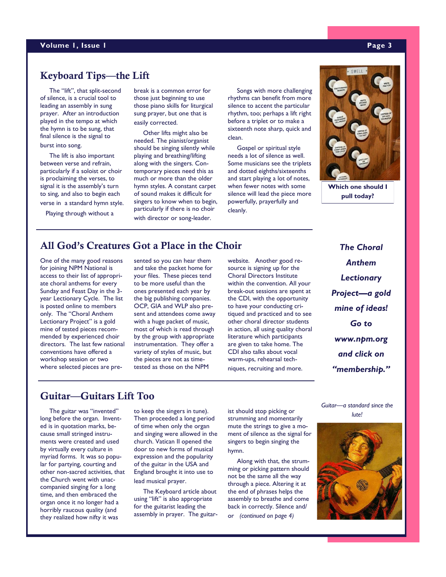#### **Volume 1, Issue 1 Page 3**

# Keyboard Tips—the Lift

 The "lift", that split-second of silence, is a crucial tool to leading an assembly in sung prayer. After an introduction played in the tempo at which the hymn is to be sung, that final silence is the signal to burst into song.

 The lift is also important between verse and refrain, particularly if a soloist or choir is proclaiming the verses, to signal it is the assembly's turn to sing, and also to begin each verse in a standard hymn style.

Playing through without a

break is a common error for those just beginning to use those piano skills for liturgical sung prayer, but one that is easily corrected.

 Other lifts might also be needed. The pianist/organist should be singing silently while playing and breathing/lifting along with the singers. Contemporary pieces need this as much or more than the older hymn styles. A constant carpet of sound makes it difficult for singers to know when to begin, particularly if there is no choir with director or song-leader.

 Songs with more challenging rhythms can benefit from more silence to accent the particular rhythm, too; perhaps a lift right before a triplet or to make a sixteenth note sharp, quick and clean.

 Gospel or spiritual style needs a lot of silence as well. Some musicians see the triplets and dotted eighths/sixteenths and start playing a lot of notes, when fewer notes with some silence will lead the piece more powerfully, prayerfully and cleanly.



**Which one should I pull today?**

# All God's Creatures Got a Place in the Choir

One of the many good reasons for joining NPM National is access to their list of appropriate choral anthems for every Sunday and Feast Day in the 3 year Lectionary Cycle. The list is posted online to members only. The "Choral Anthem Lectionary Project" is a gold mine of tested pieces recommended by experienced choir directors. The last few national conventions have offered a workshop session or two where selected pieces are presented so you can hear them and take the packet home for your files. These pieces tend to be more useful than the ones presented each year by the big publishing companies. OCP, GIA and WLP also present and attendees come away with a huge packet of music, most of which is read through by the group with appropriate instrumentation. They offer a variety of styles of music, but the pieces are not as timetested as those on the NPM

website. Another good resource is signing up for the Choral Directors Institute within the convention. All your break-out sessions are spent at the CDI, with the opportunity to have your conducting critiqued and practiced and to see other choral director students in action, all using quality choral literature which participants are given to take home. The CDI also talks about vocal warm-ups, rehearsal techniques, recruiting and more.

*The Choral Anthem Lectionary Project—a gold mine of ideas! Go to www.npm.org and click on "membership."*

# Guitar—Guitars Lift Too

 The guitar was "invented" long before the organ. Invented is in quotation marks, because small stringed instruments were created and used by virtually every culture in myriad forms. It was so popular for partying, courting and other non-sacred activities, that the Church went with unaccompanied singing for a long time, and then embraced the organ once it no longer had a horribly raucous quality (and they realized how nifty it was

to keep the singers in tune). Then proceeded a long period of time when only the organ and singing were allowed in the church. Vatican II opened the door to new forms of musical expression and the popularity of the guitar in the USA and England brought it into use to lead musical prayer.

 The Keyboard article about using "lift" is also appropriate for the guitarist leading the assembly in prayer. The guitarist should stop picking or strumming and momentarily mute the strings to give a moment of silence as the signal for singers to begin singing the hymn.

 Along with that, the strumming or picking pattern should not be the same all the way through a piece. Altering it at the end of phrases helps the assembly to breathe and come back in correctly. Silence and/ or *(continued on page 4)*

*Guitar—a standard since the lute!*